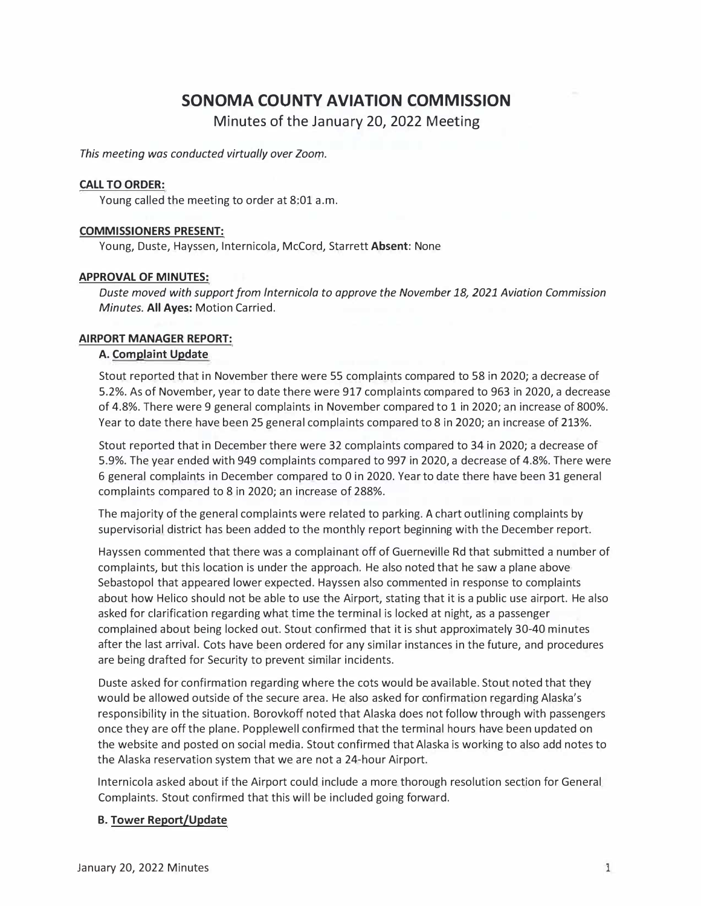# **SONOMA COUNTY AVIATION COMMISSION**

**Minutes of the January 20, 2022 Meeting** 

*This meeting was conducted virtually over Zoom.* 

## **CALL TO ORDER:**

Young called the meeting to order at 8:01 a.m.

## **COMMISSIONERS PRESENT:**

Young, Duste, Hayssen, lnternicola, McCord, Starrett **Absent:** None

## **APPROVAL OF MINUTES:**

*Duste moved with support from lnternicola to approve the November 18, 2021 Aviation Commission Minutes.* **All Ayes:** Motion Carried.

## **AIRPORT MANAGER REPORT:**

## **A. Complaint Update**

Stout reported that in November there were 55 complaints compared to 58 in 2020; a decrease of 5.2%. As of November, year to date there were 917 complaints compared to 963 in 2020, a decrease of 4.8%. There were 9 general complaints in November compared to 1 in 2020; an increase of 800%. Year to date there have been 25 general complaints compared to 8 in 2020; an increase of 213%.

Stout reported that in December there were 32 complaints compared to 34 in 2020; a decrease of 5.9%. The year ended with 949 complaints compared to 997 in 2020, a decrease of 4.8%. There were 6 general complaints in December compared to 0 in 2020. Year to date there have been 31 general complaints compared to 8 in 2020; an increase of 288%.

The majority of the general complaints were related to parking. A chart outlining complaints by supervisorial district has been added to the monthly report beginning with the December report.

Hayssen commented that there was a complainant off of Guerneville Rd that submitted a number of complaints, but this location is under the approach. He also noted that he saw a plane above Sebastopol that appeared lower expected. Hayssen also commented in response to complaints about how Helico should not be able to use the Airport, stating that it is a public use airport. He also asked for clarification regarding what time the terminal is locked at night, as a passenger complained about being locked out. Stout confirmed that it is shut approximately 30-40 minutes after the last arrival. Cots have been ordered for any similar instances in the future, and procedures are being drafted for Security to prevent similar incidents.

Duste asked for confirmation regarding where the cots would be available. Stout noted that they would be allowed outside of the secure area. He also asked for confirmation regarding Alaska's responsibility in the situation. Borovkoff noted that Alaska does not follow through with passengers once they are off the plane. Popplewell confirmed that the terminal hours have been updated on the website and posted on social media. Stout confirmed that Alaska is working to also add notes to the Alaska reservation system that we are not a 24-hour Airport.

lnternicola asked about if the Airport could include a more thorough resolution section for General Complaints. Stout confirmed that this will be included going forward.

# **B. Tower Report/Update**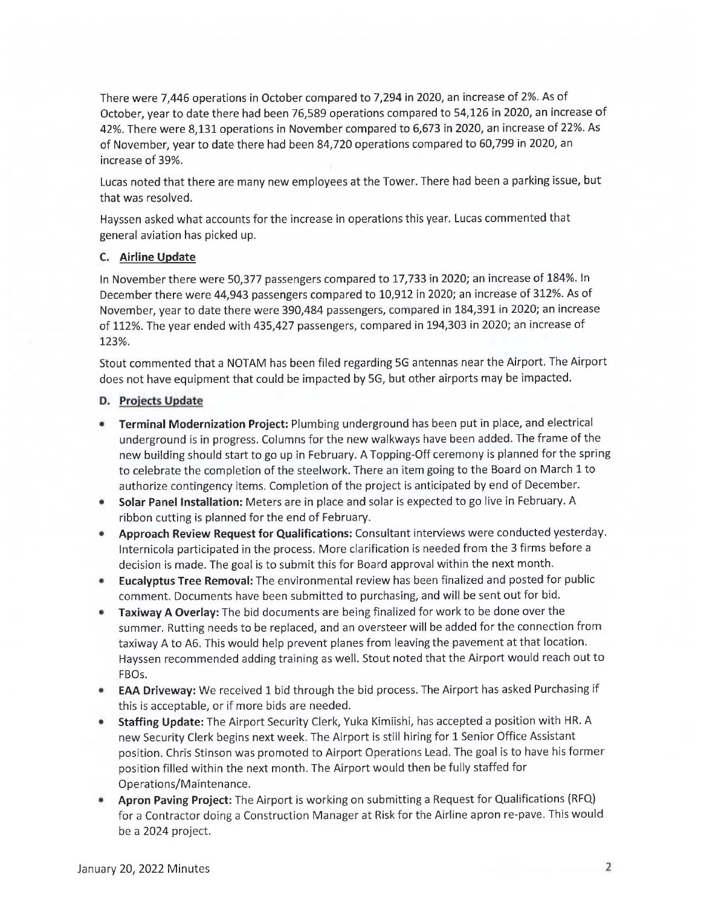There were 7,446 operations in October compared to 7,294 in 2020, an increase of 2%. As of October, year to date there had been 76,589 operations compared to 54,126 in 2020, an increase of 42%. There were 8,131 operations in November compared to 6,673 in 2020, an increase of 22%. As of November, year to date there had been 84,720 operations compared to 60,799 in 2020, an increase of 39%.

Lucas noted that there are many new employees at the Tower. There had been a parking issue, but that was resolved.

Hayssen asked what accounts for the increase in operations this year. Lucas commented that general aviation has picked up.

# C. Airline Update

In November there were 50,377 passengers compared to 17,733 in 2020; an increase of 184%. In December there were 44,943 passengers compared to 10,912 in 2020; an increase of 312%. As of November, year to date there were 390,484 passengers, compared in 184,391 in 2020; an increase of 112%. The year ended with 435,427 passengers, compared in 194,303 in 2020; an increase of 123%.

Stout commented that a NOTAM has been filed regarding 5G antennas near the Airport. The Airport does not have equipment that could be impacted by 5G, but other airports may be impacted.

## D. Projects Update

- Terminal Modernization Project: Plumbing underground has been put in place, and electrical underground is in progress. Columns for the new walkways have been added. The frame of the new building should start to go up in February. A Topping-Off ceremony is planned for the spring to celebrate the completion of the steelwork. There an item going to the Board on March 1 to authorize contingency items. Completion of the project is anticipated by end of December.
- Solar Panel Installation: Meters are in place and solar is expected to go live in February. A  $\bullet$ ribbon cutting is planned for the end of February.
- Approach Review Request for Qualifications: Consultant interviews were conducted yesterday.  $\bullet$ Internicola participated in the process. More clarification is needed from the 3 firms before a decision is made. The goal is to submit this for Board approval within the next month.
- **Eucalyptus Tree Removal:** The environmental review has been finalized and posted for public  $\bullet$ comment. Documents have been submitted to purchasing, and will be sent out for bid.
- Taxiway A Overlay: The bid documents are being finalized for work to be done over the summer. Rutting needs to be replaced, and an oversteer will be added for the connection from taxiway A to A6. This would help prevent planes from leaving the pavement at that location. Hayssen recommended adding training as well. Stout noted that the Airport would reach out to FBOs.
- **EAA Driveway:** We received 1 bid through the bid process. The Airport has asked Purchasing if ۰ this is acceptable, or if more bids are needed.
- Staffing Update: The Airport Security Clerk, Yuka Kimiishi, has accepted a position with HR. A new Security Clerk begins next week. The Airport is still hiring for 1 Senior Office Assistant position. Chris Stinson was promoted to Airport Operations Lead. The goal is to have his former position filled within the next month. The Airport would then be fully staffed for Operations/Maintenance.
- Apron Paving Project: The Airport is working on submitting a Request for Qualifications (RFQ) ۰ for a Contractor doing a Construction Manager at Risk for the Airline apron re-pave. This would be a 2024 project.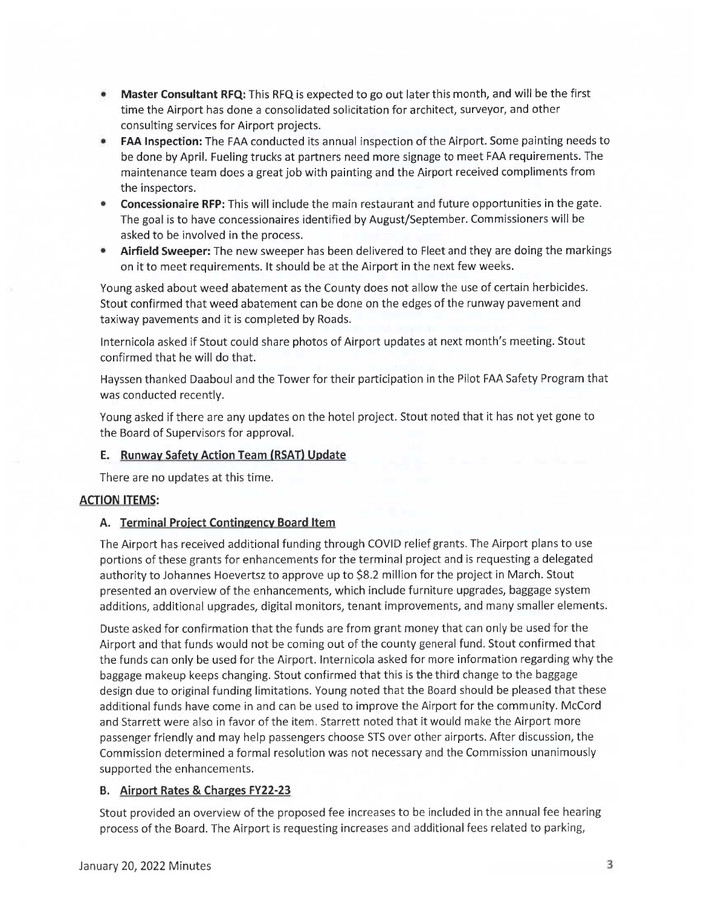- Master Consultant RFQ: This RFQ is expected to go out later this month, and will be the first  $\bullet$ time the Airport has done a consolidated solicitation for architect, surveyor, and other consulting services for Airport projects.
- **FAA Inspection:** The FAA conducted its annual inspection of the Airport. Some painting needs to  $\bullet$ be done by April. Fueling trucks at partners need more signage to meet FAA requirements. The maintenance team does a great job with painting and the Airport received compliments from the inspectors.
- **Concessionaire RFP:** This will include the main restaurant and future opportunities in the gate. ۰ The goal is to have concessionaires identified by August/September. Commissioners will be asked to be involved in the process.
- Airfield Sweeper: The new sweeper has been delivered to Fleet and they are doing the markings on it to meet requirements. It should be at the Airport in the next few weeks.

Young asked about weed abatement as the County does not allow the use of certain herbicides. Stout confirmed that weed abatement can be done on the edges of the runway pavement and taxiway pavements and it is completed by Roads.

Internicola asked if Stout could share photos of Airport updates at next month's meeting. Stout confirmed that he will do that.

Hayssen thanked Daaboul and the Tower for their participation in the Pilot FAA Safety Program that was conducted recently.

Young asked if there are any updates on the hotel project. Stout noted that it has not yet gone to the Board of Supervisors for approval.

# E. Runway Safety Action Team (RSAT) Update

There are no updates at this time.

# **ACTION ITEMS:**

# A. Terminal Project Contingency Board Item

The Airport has received additional funding through COVID relief grants. The Airport plans to use portions of these grants for enhancements for the terminal project and is requesting a delegated authority to Johannes Hoevertsz to approve up to \$8.2 million for the project in March. Stout presented an overview of the enhancements, which include furniture upgrades, baggage system additions, additional upgrades, digital monitors, tenant improvements, and many smaller elements.

Duste asked for confirmation that the funds are from grant money that can only be used for the Airport and that funds would not be coming out of the county general fund. Stout confirmed that the funds can only be used for the Airport. Internicola asked for more information regarding why the baggage makeup keeps changing. Stout confirmed that this is the third change to the baggage design due to original funding limitations. Young noted that the Board should be pleased that these additional funds have come in and can be used to improve the Airport for the community. McCord and Starrett were also in favor of the item. Starrett noted that it would make the Airport more passenger friendly and may help passengers choose STS over other airports. After discussion, the Commission determined a formal resolution was not necessary and the Commission unanimously supported the enhancements.

# B. Airport Rates & Charges FY22-23

Stout provided an overview of the proposed fee increases to be included in the annual fee hearing process of the Board. The Airport is requesting increases and additional fees related to parking,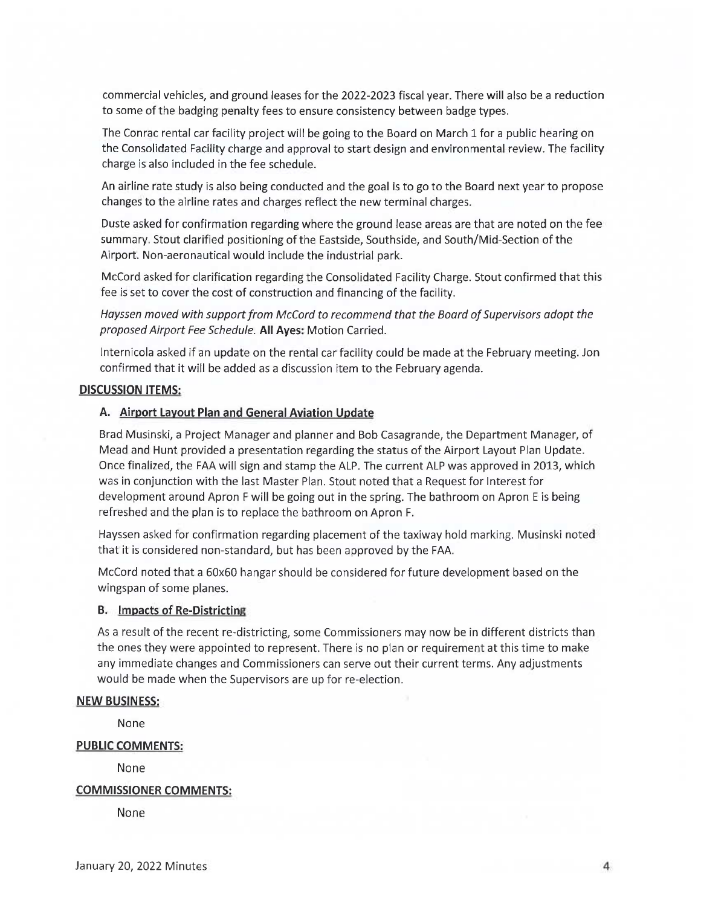commercial vehicles, and ground leases for the 2022-2023 fiscal year. There will also be a reduction to some of the badging penalty fees to ensure consistency between badge types.

The Conrac rental car facility project will be going to the Board on March 1 for a public hearing on the Consolidated Facility charge and approval to start design and environmental review. The facility charge is also included in the fee schedule.

An airline rate study is also being conducted and the goal is to go to the Board next year to propose changes to the airline rates and charges reflect the new terminal charges.

Duste asked for confirmation regarding where the ground lease areas are that are noted on the fee summary. Stout clarified positioning of the Eastside, Southside, and South/Mid-Section of the Airport. Non-aeronautical would include the industrial park.

McCord asked for clarification regarding the Consolidated Facility Charge. Stout confirmed that this fee is set to cover the cost of construction and financing of the facility.

Hayssen moved with support from McCord to recommend that the Board of Supervisors adopt the proposed Airport Fee Schedule. All Ayes: Motion Carried.

Internicola asked if an update on the rental car facility could be made at the February meeting. Jon confirmed that it will be added as a discussion item to the February agenda.

## **DISCUSSION ITEMS:**

## A. Airport Layout Plan and General Aviation Update

Brad Musinski, a Project Manager and planner and Bob Casagrande, the Department Manager, of Mead and Hunt provided a presentation regarding the status of the Airport Layout Plan Update. Once finalized, the FAA will sign and stamp the ALP. The current ALP was approved in 2013, which was in conjunction with the last Master Plan. Stout noted that a Request for Interest for development around Apron F will be going out in the spring. The bathroom on Apron E is being refreshed and the plan is to replace the bathroom on Apron F.

Hayssen asked for confirmation regarding placement of the taxiway hold marking. Musinski noted that it is considered non-standard, but has been approved by the FAA.

McCord noted that a 60x60 hangar should be considered for future development based on the wingspan of some planes.

#### **B.** Impacts of Re-Districting

As a result of the recent re-districting, some Commissioners may now be in different districts than the ones they were appointed to represent. There is no plan or requirement at this time to make any immediate changes and Commissioners can serve out their current terms. Any adjustments would be made when the Supervisors are up for re-election.

#### **NEW BUSINESS:**

None

#### **PUBLIC COMMENTS:**

None

#### **COMMISSIONER COMMENTS:**

None